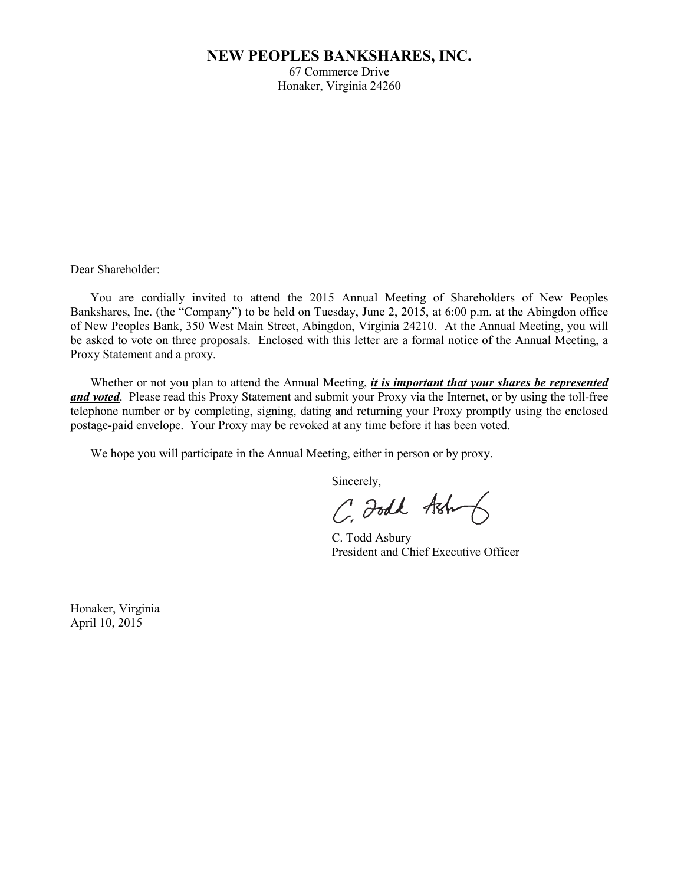# **NEW PEOPLES BANKSHARES, INC.**

67 Commerce Drive Honaker, Virginia 24260

Dear Shareholder:

You are cordially invited to attend the 2015 Annual Meeting of Shareholders of New Peoples Bankshares, Inc. (the "Company") to be held on Tuesday, June 2, 2015, at 6:00 p.m. at the Abingdon office of New Peoples Bank, 350 West Main Street, Abingdon, Virginia 24210. At the Annual Meeting, you will be asked to vote on three proposals. Enclosed with this letter are a formal notice of the Annual Meeting, a Proxy Statement and a proxy.

Whether or not you plan to attend the Annual Meeting, *it is important that your shares be represented and voted*. Please read this Proxy Statement and submit your Proxy via the Internet, or by using the toll-free telephone number or by completing, signing, dating and returning your Proxy promptly using the enclosed postage-paid envelope. Your Proxy may be revoked at any time before it has been voted.

We hope you will participate in the Annual Meeting, either in person or by proxy.

Sincerely,

C. Foodk Ash

C. Todd Asbury President and Chief Executive Officer

Honaker, Virginia April 10, 2015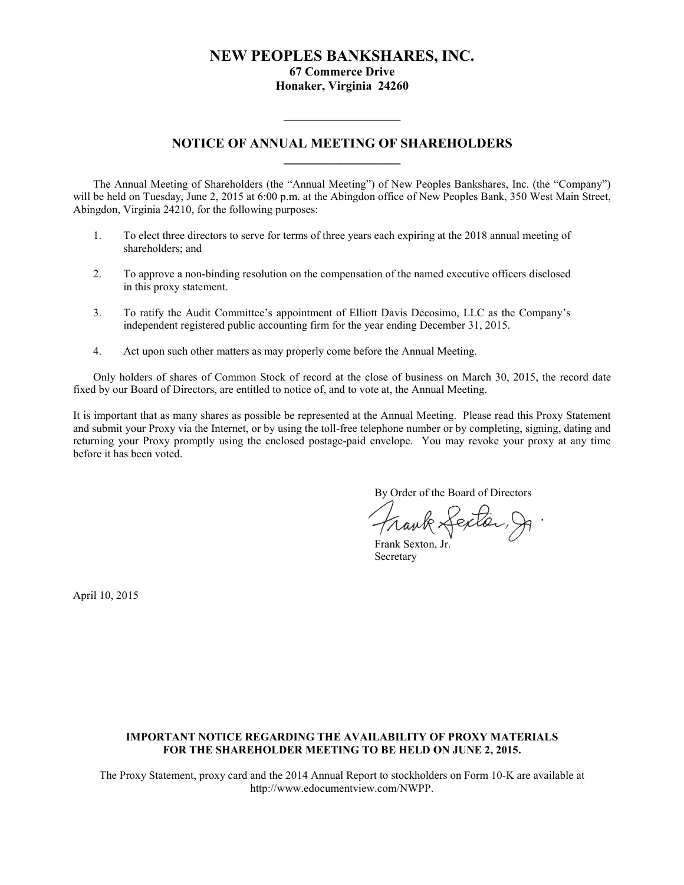# **NEW PEOPLES BANKSHARES, INC.**

**67 Commerce Drive**

**Honaker, Virginia 24260**

# **NOTICE OF ANNUAL MEETING OF SHAREHOLDERS \_\_\_\_\_\_\_\_\_\_\_\_\_\_\_\_\_\_\_**

**\_\_\_\_\_\_\_\_\_\_\_\_\_\_\_\_\_\_\_**

The Annual Meeting of Shareholders (the "Annual Meeting") of New Peoples Bankshares, Inc. (the "Company") will be held on Tuesday, June 2, 2015 at 6:00 p.m. at the Abingdon office of New Peoples Bank, 350 West Main Street, Abingdon, Virginia 24210, for the following purposes:

- 1. To elect three directors to serve for terms of three years each expiring at the 2018 annual meeting of shareholders; and
- 2. To approve a non-binding resolution on the compensation of the named executive officers disclosed in this proxy statement.
- 3. To ratify the Audit Committee's appointment of Elliott Davis Decosimo, LLC as the Company's independent registered public accounting firm for the year ending December 31, 2015.
- 4. Act upon such other matters as may properly come before the Annual Meeting.

Only holders of shares of Common Stock of record at the close of business on March 30, 2015, the record date fixed by our Board of Directors, are entitled to notice of, and to vote at, the Annual Meeting.

It is important that as many shares as possible be represented at the Annual Meeting. Please read this Proxy Statement and submit your Proxy via the Internet, or by using the toll-free telephone number or by completing, signing, dating and returning your Proxy promptly using the enclosed postage-paid envelope. You may revoke your proxy at any time before it has been voted.

By Order of the Board of Directors

Frank Lexter, J.

Frank Sexton, Jr. Secretary

April 10, 2015

# **IMPORTANT NOTICE REGARDING THE AVAILABILITY OF PROXY MATERIALS FOR THE SHAREHOLDER MEETING TO BE HELD ON JUNE 2, 2015.**

The Proxy Statement, proxy card and the 2014 Annual Report to stockholders on Form 10-K are available at http://www.edocumentview.com/NWPP.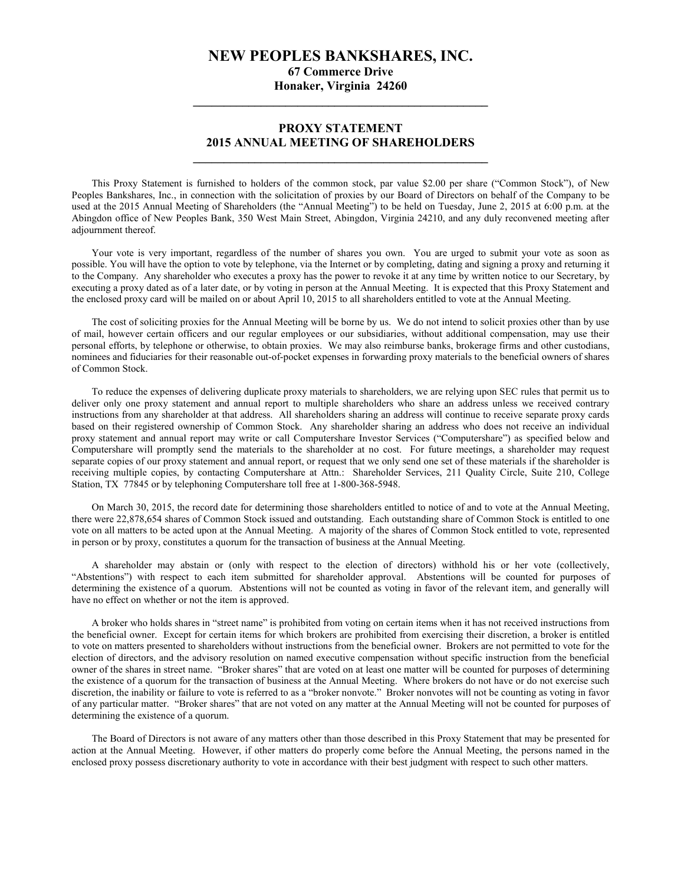# **NEW PEOPLES BANKSHARES, INC.**

**67 Commerce Drive Honaker, Virginia 24260 \_\_\_\_\_\_\_\_\_\_\_\_\_\_\_\_\_\_\_\_\_\_\_\_\_\_\_\_\_\_\_\_\_\_\_\_\_\_\_\_\_\_\_\_\_\_\_\_**

# **PROXY STATEMENT 2015 ANNUAL MEETING OF SHAREHOLDERS \_\_\_\_\_\_\_\_\_\_\_\_\_\_\_\_\_\_\_\_\_\_\_\_\_\_\_\_\_\_\_\_\_\_\_\_\_\_\_\_\_\_\_\_\_\_\_\_**

This Proxy Statement is furnished to holders of the common stock, par value \$2.00 per share ("Common Stock"), of New Peoples Bankshares, Inc., in connection with the solicitation of proxies by our Board of Directors on behalf of the Company to be used at the 2015 Annual Meeting of Shareholders (the "Annual Meeting") to be held on Tuesday, June 2, 2015 at 6:00 p.m. at the Abingdon office of New Peoples Bank, 350 West Main Street, Abingdon, Virginia 24210, and any duly reconvened meeting after adjournment thereof.

Your vote is very important, regardless of the number of shares you own. You are urged to submit your vote as soon as possible. You will have the option to vote by telephone, via the Internet or by completing, dating and signing a proxy and returning it to the Company. Any shareholder who executes a proxy has the power to revoke it at any time by written notice to our Secretary, by executing a proxy dated as of a later date, or by voting in person at the Annual Meeting. It is expected that this Proxy Statement and the enclosed proxy card will be mailed on or about April 10, 2015 to all shareholders entitled to vote at the Annual Meeting.

The cost of soliciting proxies for the Annual Meeting will be borne by us. We do not intend to solicit proxies other than by use of mail, however certain officers and our regular employees or our subsidiaries, without additional compensation, may use their personal efforts, by telephone or otherwise, to obtain proxies. We may also reimburse banks, brokerage firms and other custodians, nominees and fiduciaries for their reasonable out-of-pocket expenses in forwarding proxy materials to the beneficial owners of shares of Common Stock.

To reduce the expenses of delivering duplicate proxy materials to shareholders, we are relying upon SEC rules that permit us to deliver only one proxy statement and annual report to multiple shareholders who share an address unless we received contrary instructions from any shareholder at that address. All shareholders sharing an address will continue to receive separate proxy cards based on their registered ownership of Common Stock. Any shareholder sharing an address who does not receive an individual proxy statement and annual report may write or call Computershare Investor Services ("Computershare") as specified below and Computershare will promptly send the materials to the shareholder at no cost. For future meetings, a shareholder may request separate copies of our proxy statement and annual report, or request that we only send one set of these materials if the shareholder is receiving multiple copies, by contacting Computershare at Attn.: Shareholder Services, 211 Quality Circle, Suite 210, College Station, TX 77845 or by telephoning Computershare toll free at 1-800-368-5948.

On March 30, 2015, the record date for determining those shareholders entitled to notice of and to vote at the Annual Meeting, there were 22,878,654 shares of Common Stock issued and outstanding. Each outstanding share of Common Stock is entitled to one vote on all matters to be acted upon at the Annual Meeting. A majority of the shares of Common Stock entitled to vote, represented in person or by proxy, constitutes a quorum for the transaction of business at the Annual Meeting.

A shareholder may abstain or (only with respect to the election of directors) withhold his or her vote (collectively, "Abstentions") with respect to each item submitted for shareholder approval. Abstentions will be counted for purposes of determining the existence of a quorum. Abstentions will not be counted as voting in favor of the relevant item, and generally will have no effect on whether or not the item is approved.

A broker who holds shares in "street name" is prohibited from voting on certain items when it has not received instructions from the beneficial owner. Except for certain items for which brokers are prohibited from exercising their discretion, a broker is entitled to vote on matters presented to shareholders without instructions from the beneficial owner. Brokers are not permitted to vote for the election of directors, and the advisory resolution on named executive compensation without specific instruction from the beneficial owner of the shares in street name. "Broker shares" that are voted on at least one matter will be counted for purposes of determining the existence of a quorum for the transaction of business at the Annual Meeting. Where brokers do not have or do not exercise such discretion, the inability or failure to vote is referred to as a "broker nonvote." Broker nonvotes will not be counting as voting in favor of any particular matter. "Broker shares" that are not voted on any matter at the Annual Meeting will not be counted for purposes of determining the existence of a quorum.

The Board of Directors is not aware of any matters other than those described in this Proxy Statement that may be presented for action at the Annual Meeting. However, if other matters do properly come before the Annual Meeting, the persons named in the enclosed proxy possess discretionary authority to vote in accordance with their best judgment with respect to such other matters.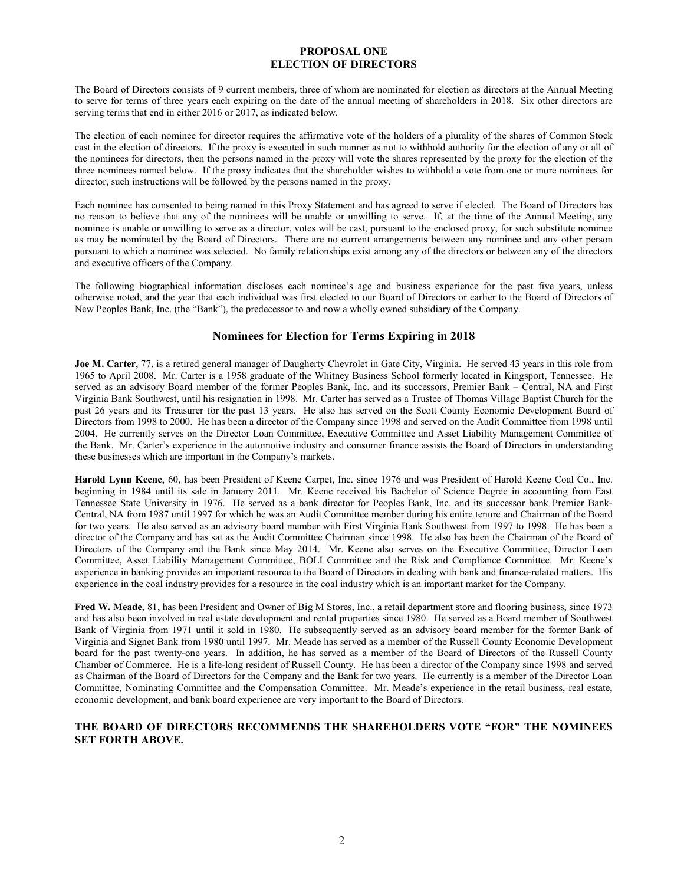# **PROPOSAL ONE ELECTION OF DIRECTORS**

The Board of Directors consists of 9 current members, three of whom are nominated for election as directors at the Annual Meeting to serve for terms of three years each expiring on the date of the annual meeting of shareholders in 2018. Six other directors are serving terms that end in either 2016 or 2017, as indicated below.

The election of each nominee for director requires the affirmative vote of the holders of a plurality of the shares of Common Stock cast in the election of directors. If the proxy is executed in such manner as not to withhold authority for the election of any or all of the nominees for directors, then the persons named in the proxy will vote the shares represented by the proxy for the election of the three nominees named below. If the proxy indicates that the shareholder wishes to withhold a vote from one or more nominees for director, such instructions will be followed by the persons named in the proxy.

Each nominee has consented to being named in this Proxy Statement and has agreed to serve if elected. The Board of Directors has no reason to believe that any of the nominees will be unable or unwilling to serve. If, at the time of the Annual Meeting, any nominee is unable or unwilling to serve as a director, votes will be cast, pursuant to the enclosed proxy, for such substitute nominee as may be nominated by the Board of Directors. There are no current arrangements between any nominee and any other person pursuant to which a nominee was selected. No family relationships exist among any of the directors or between any of the directors and executive officers of the Company.

The following biographical information discloses each nominee's age and business experience for the past five years, unless otherwise noted, and the year that each individual was first elected to our Board of Directors or earlier to the Board of Directors of New Peoples Bank, Inc. (the "Bank"), the predecessor to and now a wholly owned subsidiary of the Company.

# **Nominees for Election for Terms Expiring in 2018**

**Joe M. Carter**, 77, is a retired general manager of Daugherty Chevrolet in Gate City, Virginia. He served 43 years in this role from 1965 to April 2008. Mr. Carter is a 1958 graduate of the Whitney Business School formerly located in Kingsport, Tennessee. He served as an advisory Board member of the former Peoples Bank, Inc. and its successors, Premier Bank – Central, NA and First Virginia Bank Southwest, until his resignation in 1998. Mr. Carter has served as a Trustee of Thomas Village Baptist Church for the past 26 years and its Treasurer for the past 13 years. He also has served on the Scott County Economic Development Board of Directors from 1998 to 2000. He has been a director of the Company since 1998 and served on the Audit Committee from 1998 until 2004. He currently serves on the Director Loan Committee, Executive Committee and Asset Liability Management Committee of the Bank. Mr. Carter's experience in the automotive industry and consumer finance assists the Board of Directors in understanding these businesses which are important in the Company's markets.

**Harold Lynn Keene**, 60, has been President of Keene Carpet, Inc. since 1976 and was President of Harold Keene Coal Co., Inc. beginning in 1984 until its sale in January 2011. Mr. Keene received his Bachelor of Science Degree in accounting from East Tennessee State University in 1976. He served as a bank director for Peoples Bank, Inc. and its successor bank Premier Bank-Central, NA from 1987 until 1997 for which he was an Audit Committee member during his entire tenure and Chairman of the Board for two years. He also served as an advisory board member with First Virginia Bank Southwest from 1997 to 1998. He has been a director of the Company and has sat as the Audit Committee Chairman since 1998. He also has been the Chairman of the Board of Directors of the Company and the Bank since May 2014. Mr. Keene also serves on the Executive Committee, Director Loan Committee, Asset Liability Management Committee, BOLI Committee and the Risk and Compliance Committee. Mr. Keene's experience in banking provides an important resource to the Board of Directors in dealing with bank and finance-related matters. His experience in the coal industry provides for a resource in the coal industry which is an important market for the Company.

**Fred W. Meade**, 81, has been President and Owner of Big M Stores, Inc., a retail department store and flooring business, since 1973 and has also been involved in real estate development and rental properties since 1980. He served as a Board member of Southwest Bank of Virginia from 1971 until it sold in 1980. He subsequently served as an advisory board member for the former Bank of Virginia and Signet Bank from 1980 until 1997. Mr. Meade has served as a member of the Russell County Economic Development board for the past twenty-one years. In addition, he has served as a member of the Board of Directors of the Russell County Chamber of Commerce. He is a life-long resident of Russell County. He has been a director of the Company since 1998 and served as Chairman of the Board of Directors for the Company and the Bank for two years. He currently is a member of the Director Loan Committee, Nominating Committee and the Compensation Committee. Mr. Meade's experience in the retail business, real estate, economic development, and bank board experience are very important to the Board of Directors.

# **THE BOARD OF DIRECTORS RECOMMENDS THE SHAREHOLDERS VOTE "FOR" THE NOMINEES SET FORTH ABOVE.**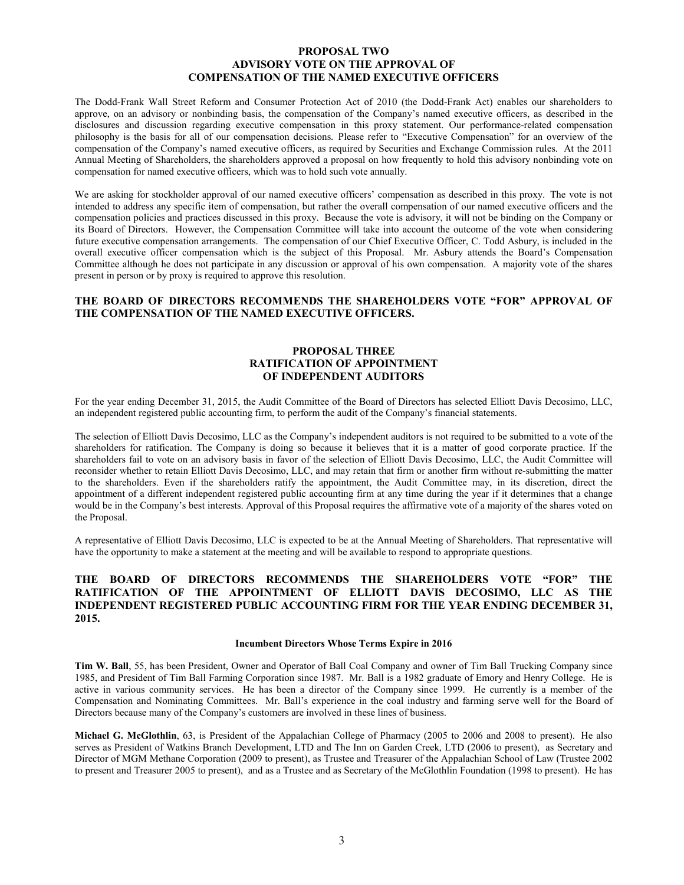# **PROPOSAL TWO ADVISORY VOTE ON THE APPROVAL OF COMPENSATION OF THE NAMED EXECUTIVE OFFICERS**

The Dodd-Frank Wall Street Reform and Consumer Protection Act of 2010 (the Dodd-Frank Act) enables our shareholders to approve, on an advisory or nonbinding basis, the compensation of the Company's named executive officers, as described in the disclosures and discussion regarding executive compensation in this proxy statement. Our performance-related compensation philosophy is the basis for all of our compensation decisions. Please refer to "Executive Compensation" for an overview of the compensation of the Company's named executive officers, as required by Securities and Exchange Commission rules. At the 2011 Annual Meeting of Shareholders, the shareholders approved a proposal on how frequently to hold this advisory nonbinding vote on compensation for named executive officers, which was to hold such vote annually.

We are asking for stockholder approval of our named executive officers' compensation as described in this proxy. The vote is not intended to address any specific item of compensation, but rather the overall compensation of our named executive officers and the compensation policies and practices discussed in this proxy. Because the vote is advisory, it will not be binding on the Company or its Board of Directors. However, the Compensation Committee will take into account the outcome of the vote when considering future executive compensation arrangements. The compensation of our Chief Executive Officer, C. Todd Asbury, is included in the overall executive officer compensation which is the subject of this Proposal. Mr. Asbury attends the Board's Compensation Committee although he does not participate in any discussion or approval of his own compensation. A majority vote of the shares present in person or by proxy is required to approve this resolution.

# **THE BOARD OF DIRECTORS RECOMMENDS THE SHAREHOLDERS VOTE "FOR" APPROVAL OF THE COMPENSATION OF THE NAMED EXECUTIVE OFFICERS.**

# **PROPOSAL THREE RATIFICATION OF APPOINTMENT OF INDEPENDENT AUDITORS**

For the year ending December 31, 2015, the Audit Committee of the Board of Directors has selected Elliott Davis Decosimo, LLC, an independent registered public accounting firm, to perform the audit of the Company's financial statements.

The selection of Elliott Davis Decosimo, LLC as the Company's independent auditors is not required to be submitted to a vote of the shareholders for ratification. The Company is doing so because it believes that it is a matter of good corporate practice. If the shareholders fail to vote on an advisory basis in favor of the selection of Elliott Davis Decosimo, LLC, the Audit Committee will reconsider whether to retain Elliott Davis Decosimo, LLC, and may retain that firm or another firm without re-submitting the matter to the shareholders. Even if the shareholders ratify the appointment, the Audit Committee may, in its discretion, direct the appointment of a different independent registered public accounting firm at any time during the year if it determines that a change would be in the Company's best interests. Approval of this Proposal requires the affirmative vote of a majority of the shares voted on the Proposal.

A representative of Elliott Davis Decosimo, LLC is expected to be at the Annual Meeting of Shareholders. That representative will have the opportunity to make a statement at the meeting and will be available to respond to appropriate questions.

# **THE BOARD OF DIRECTORS RECOMMENDS THE SHAREHOLDERS VOTE "FOR" THE RATIFICATION OF THE APPOINTMENT OF ELLIOTT DAVIS DECOSIMO, LLC AS THE INDEPENDENT REGISTERED PUBLIC ACCOUNTING FIRM FOR THE YEAR ENDING DECEMBER 31, 2015.**

### **Incumbent Directors Whose Terms Expire in 2016**

**Tim W. Ball**, 55, has been President, Owner and Operator of Ball Coal Company and owner of Tim Ball Trucking Company since 1985, and President of Tim Ball Farming Corporation since 1987. Mr. Ball is a 1982 graduate of Emory and Henry College. He is active in various community services. He has been a director of the Company since 1999. He currently is a member of the Compensation and Nominating Committees. Mr. Ball's experience in the coal industry and farming serve well for the Board of Directors because many of the Company's customers are involved in these lines of business.

**Michael G. McGlothlin**, 63, is President of the Appalachian College of Pharmacy (2005 to 2006 and 2008 to present). He also serves as President of Watkins Branch Development, LTD and The Inn on Garden Creek, LTD (2006 to present), as Secretary and Director of MGM Methane Corporation (2009 to present), as Trustee and Treasurer of the Appalachian School of Law (Trustee 2002 to present and Treasurer 2005 to present), and as a Trustee and as Secretary of the McGlothlin Foundation (1998 to present). He has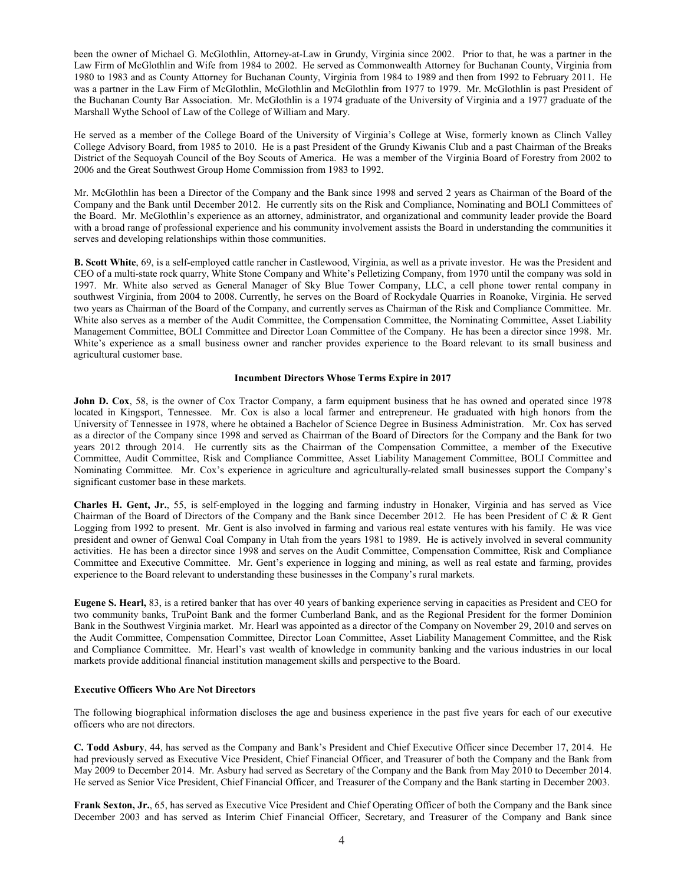been the owner of Michael G. McGlothlin, Attorney-at-Law in Grundy, Virginia since 2002. Prior to that, he was a partner in the Law Firm of McGlothlin and Wife from 1984 to 2002. He served as Commonwealth Attorney for Buchanan County, Virginia from 1980 to 1983 and as County Attorney for Buchanan County, Virginia from 1984 to 1989 and then from 1992 to February 2011. He was a partner in the Law Firm of McGlothlin, McGlothlin and McGlothlin from 1977 to 1979. Mr. McGlothlin is past President of the Buchanan County Bar Association. Mr. McGlothlin is a 1974 graduate of the University of Virginia and a 1977 graduate of the Marshall Wythe School of Law of the College of William and Mary.

He served as a member of the College Board of the University of Virginia's College at Wise, formerly known as Clinch Valley College Advisory Board, from 1985 to 2010. He is a past President of the Grundy Kiwanis Club and a past Chairman of the Breaks District of the Sequoyah Council of the Boy Scouts of America. He was a member of the Virginia Board of Forestry from 2002 to 2006 and the Great Southwest Group Home Commission from 1983 to 1992.

Mr. McGlothlin has been a Director of the Company and the Bank since 1998 and served 2 years as Chairman of the Board of the Company and the Bank until December 2012. He currently sits on the Risk and Compliance, Nominating and BOLI Committees of the Board. Mr. McGlothlin's experience as an attorney, administrator, and organizational and community leader provide the Board with a broad range of professional experience and his community involvement assists the Board in understanding the communities it serves and developing relationships within those communities.

**B. Scott White**, 69, is a self-employed cattle rancher in Castlewood, Virginia, as well as a private investor. He was the President and CEO of a multi-state rock quarry, White Stone Company and White's Pelletizing Company, from 1970 until the company was sold in 1997. Mr. White also served as General Manager of Sky Blue Tower Company, LLC, a cell phone tower rental company in southwest Virginia, from 2004 to 2008. Currently, he serves on the Board of Rockydale Quarries in Roanoke, Virginia. He served two years as Chairman of the Board of the Company, and currently serves as Chairman of the Risk and Compliance Committee. Mr. White also serves as a member of the Audit Committee, the Compensation Committee, the Nominating Committee, Asset Liability Management Committee, BOLI Committee and Director Loan Committee of the Company. He has been a director since 1998. Mr. White's experience as a small business owner and rancher provides experience to the Board relevant to its small business and agricultural customer base.

## **Incumbent Directors Whose Terms Expire in 2017**

**John D. Cox**, 58, is the owner of Cox Tractor Company, a farm equipment business that he has owned and operated since 1978 located in Kingsport, Tennessee. Mr. Cox is also a local farmer and entrepreneur. He graduated with high honors from the University of Tennessee in 1978, where he obtained a Bachelor of Science Degree in Business Administration. Mr. Cox has served as a director of the Company since 1998 and served as Chairman of the Board of Directors for the Company and the Bank for two years 2012 through 2014. He currently sits as the Chairman of the Compensation Committee, a member of the Executive Committee, Audit Committee, Risk and Compliance Committee, Asset Liability Management Committee, BOLI Committee and Nominating Committee. Mr. Cox's experience in agriculture and agriculturally-related small businesses support the Company's significant customer base in these markets.

**Charles H. Gent, Jr.**, 55, is self-employed in the logging and farming industry in Honaker, Virginia and has served as Vice Chairman of the Board of Directors of the Company and the Bank since December 2012. He has been President of C & R Gent Logging from 1992 to present. Mr. Gent is also involved in farming and various real estate ventures with his family. He was vice president and owner of Genwal Coal Company in Utah from the years 1981 to 1989. He is actively involved in several community activities. He has been a director since 1998 and serves on the Audit Committee, Compensation Committee, Risk and Compliance Committee and Executive Committee. Mr. Gent's experience in logging and mining, as well as real estate and farming, provides experience to the Board relevant to understanding these businesses in the Company's rural markets.

**Eugene S. Hearl,** 83, is a retired banker that has over 40 years of banking experience serving in capacities as President and CEO for two community banks, TruPoint Bank and the former Cumberland Bank, and as the Regional President for the former Dominion Bank in the Southwest Virginia market. Mr. Hearl was appointed as a director of the Company on November 29, 2010 and serves on the Audit Committee, Compensation Committee, Director Loan Committee, Asset Liability Management Committee, and the Risk and Compliance Committee. Mr. Hearl's vast wealth of knowledge in community banking and the various industries in our local markets provide additional financial institution management skills and perspective to the Board.

# **Executive Officers Who Are Not Directors**

The following biographical information discloses the age and business experience in the past five years for each of our executive officers who are not directors.

**C. Todd Asbury**, 44, has served as the Company and Bank's President and Chief Executive Officer since December 17, 2014. He had previously served as Executive Vice President, Chief Financial Officer, and Treasurer of both the Company and the Bank from May 2009 to December 2014. Mr. Asbury had served as Secretary of the Company and the Bank from May 2010 to December 2014. He served as Senior Vice President, Chief Financial Officer, and Treasurer of the Company and the Bank starting in December 2003.

**Frank Sexton, Jr.**, 65, has served as Executive Vice President and Chief Operating Officer of both the Company and the Bank since December 2003 and has served as Interim Chief Financial Officer, Secretary, and Treasurer of the Company and Bank since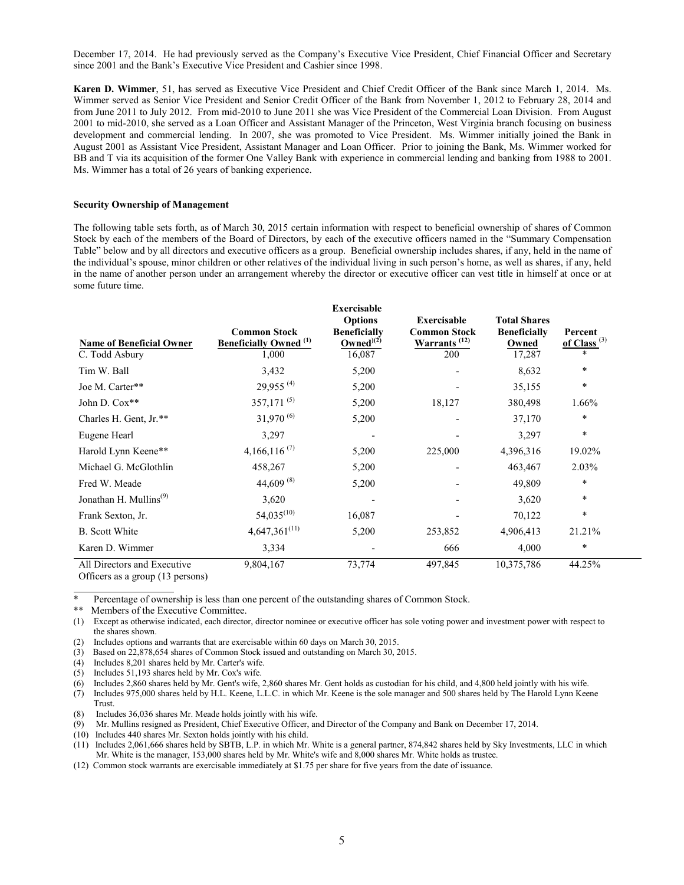December 17, 2014. He had previously served as the Company's Executive Vice President, Chief Financial Officer and Secretary since 2001 and the Bank's Executive Vice President and Cashier since 1998.

**Karen D. Wimmer**, 51, has served as Executive Vice President and Chief Credit Officer of the Bank since March 1, 2014. Ms. Wimmer served as Senior Vice President and Senior Credit Officer of the Bank from November 1, 2012 to February 28, 2014 and from June 2011 to July 2012. From mid-2010 to June 2011 she was Vice President of the Commercial Loan Division. From August 2001 to mid-2010, she served as a Loan Officer and Assistant Manager of the Princeton, West Virginia branch focusing on business development and commercial lending. In 2007, she was promoted to Vice President. Ms. Wimmer initially joined the Bank in August 2001 as Assistant Vice President, Assistant Manager and Loan Officer. Prior to joining the Bank, Ms. Wimmer worked for BB and T via its acquisition of the former One Valley Bank with experience in commercial lending and banking from 1988 to 2001. Ms. Wimmer has a total of 26 years of banking experience.

## **Security Ownership of Management**

The following table sets forth, as of March 30, 2015 certain information with respect to beneficial ownership of shares of Common Stock by each of the members of the Board of Directors, by each of the executive officers named in the "Summary Compensation Table" below and by all directors and executive officers as a group. Beneficial ownership includes shares, if any, held in the name of the individual's spouse, minor children or other relatives of the individual living in such person's home, as well as shares, if any, held in the name of another person under an arrangement whereby the director or executive officer can vest title in himself at once or at some future time.

**Exercisable** 

| <b>Name of Beneficial Owner</b><br>C. Todd Asbury | <b>Common Stock</b><br><b>Beneficially Owned</b> <sup>(1)</sup><br>1,000 | <b>Exercisable</b><br><b>Options</b><br><b>Beneficially</b><br>$Owned^{(2)}$<br>16,087 | <b>Exercisable</b><br><b>Common Stock</b><br>Warrants <sup>(12)</sup><br>200 | <b>Total Shares</b><br><b>Beneficially</b><br>Owned<br>17,287 | Percent<br>of Class <sup>(3)</sup><br>$\ast$ |
|---------------------------------------------------|--------------------------------------------------------------------------|----------------------------------------------------------------------------------------|------------------------------------------------------------------------------|---------------------------------------------------------------|----------------------------------------------|
| Tim W. Ball                                       | 3,432                                                                    | 5,200                                                                                  |                                                                              | 8,632                                                         | $\ast$                                       |
| Joe M. Carter**                                   | $29.955^{(4)}$                                                           | 5,200                                                                                  |                                                                              | 35,155                                                        | $\ast$                                       |
| John D. Cox**                                     | $357,171^{(5)}$                                                          | 5,200                                                                                  | 18,127                                                                       | 380,498                                                       | 1.66%                                        |
| Charles H. Gent, Jr.**                            | $31,970^{(6)}$                                                           | 5,200                                                                                  |                                                                              | 37,170                                                        | $\ast$                                       |
| Eugene Hearl                                      | 3,297                                                                    |                                                                                        |                                                                              | 3,297                                                         | $\ast$                                       |
| Harold Lynn Keene**                               | 4,166,116 $(7)$                                                          | 5,200                                                                                  | 225,000                                                                      | 4,396,316                                                     | 19.02%                                       |
| Michael G. McGlothlin                             | 458,267                                                                  | 5,200                                                                                  |                                                                              | 463,467                                                       | 2.03%                                        |
| Fred W. Meade                                     | 44,609 $^{(8)}$                                                          | 5,200                                                                                  |                                                                              | 49,809                                                        | $\ast$                                       |
| Jonathan H. Mullins <sup>(9)</sup>                | 3,620                                                                    |                                                                                        |                                                                              | 3,620                                                         | $\ast$                                       |
| Frank Sexton, Jr.                                 | $54,035^{(10)}$                                                          | 16,087                                                                                 |                                                                              | 70,122                                                        | $\ast$                                       |
| <b>B.</b> Scott White                             | $4,647,361^{(11)}$                                                       | 5,200                                                                                  | 253,852                                                                      | 4,906,413                                                     | 21.21%                                       |
| Karen D. Wimmer                                   | 3,334                                                                    |                                                                                        | 666                                                                          | 4,000                                                         | $\ast$                                       |
| All Directors and Executive                       | 9,804,167                                                                | 73,774                                                                                 | 497,845                                                                      | 10,375,786                                                    | 44.25%                                       |

Officers as a group (13 persons)

Percentage of ownership is less than one percent of the outstanding shares of Common Stock.

\*\* Members of the Executive Committee.

(1) Except as otherwise indicated, each director, director nominee or executive officer has sole voting power and investment power with respect to the shares shown.

(2) Includes options and warrants that are exercisable within 60 days on March 30, 2015.

(3) Based on 22,878,654 shares of Common Stock issued and outstanding on March 30, 2015.

(4) Includes 8,201 shares held by Mr. Carter's wife.

(5) Includes 51,193 shares held by Mr. Cox's wife.

(6) Includes 2,860 shares held by Mr. Gent's wife, 2,860 shares Mr. Gent holds as custodian for his child, and 4,800 held jointly with his wife.

(7) Includes 975,000 shares held by H.L. Keene, L.L.C. in which Mr. Keene is the sole manager and 500 shares held by The Harold Lynn Keene

Trust.

(8) Includes 36,036 shares Mr. Meade holds jointly with his wife. (9) Mr. Mullins resigned as President, Chief Executive Officer, and Director of the Company and Bank on December 17, 2014.

(10) Includes 440 shares Mr. Sexton holds jointly with his child.

(11) Includes 2,061,666 shares held by SBTB, L.P. in which Mr. White is a general partner, 874,842 shares held by Sky Investments, LLC in which Mr. White is the manager, 153,000 shares held by Mr. White's wife and 8,000 shares Mr. White holds as trustee.

(12) Common stock warrants are exercisable immediately at \$1.75 per share for five years from the date of issuance.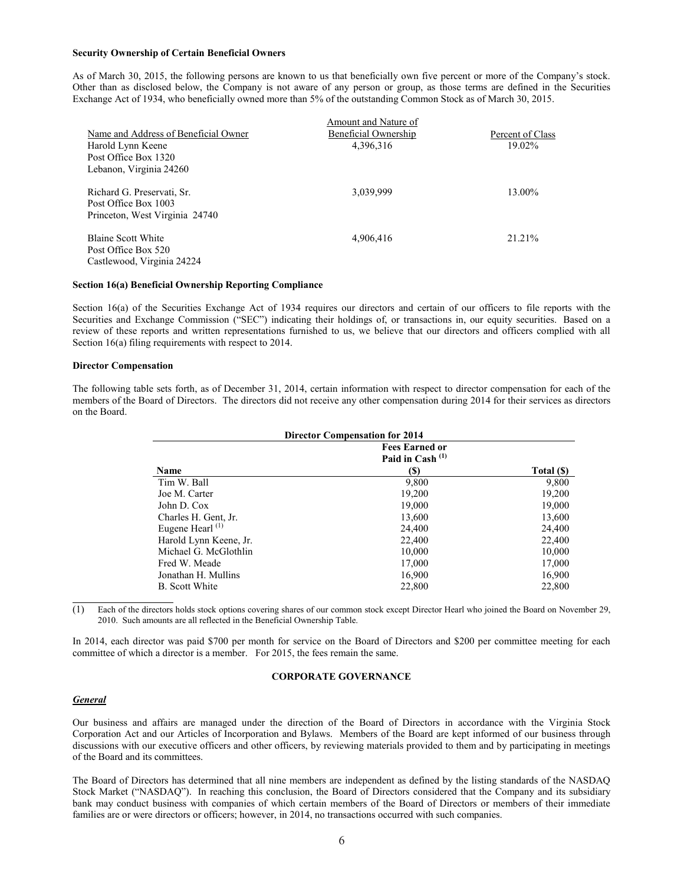#### **Security Ownership of Certain Beneficial Owners**

As of March 30, 2015, the following persons are known to us that beneficially own five percent or more of the Company's stock. Other than as disclosed below, the Company is not aware of any person or group, as those terms are defined in the Securities Exchange Act of 1934, who beneficially owned more than 5% of the outstanding Common Stock as of March 30, 2015.

|                                      | Amount and Nature of |                  |
|--------------------------------------|----------------------|------------------|
| Name and Address of Beneficial Owner | Beneficial Ownership | Percent of Class |
| Harold Lynn Keene                    | 4,396,316            | 19.02%           |
| Post Office Box 1320                 |                      |                  |
| Lebanon, Virginia 24260              |                      |                  |
| Richard G. Preservati, Sr.           | 3,039,999            | 13.00%           |
| Post Office Box 1003                 |                      |                  |
| Princeton, West Virginia 24740       |                      |                  |
| <b>Blaine Scott White</b>            | 4,906,416            | 21.21%           |
| Post Office Box 520                  |                      |                  |
| Castlewood, Virginia 24224           |                      |                  |
|                                      |                      |                  |

#### **Section 16(a) Beneficial Ownership Reporting Compliance**

Section 16(a) of the Securities Exchange Act of 1934 requires our directors and certain of our officers to file reports with the Securities and Exchange Commission ("SEC") indicating their holdings of, or transactions in, our equity securities. Based on a review of these reports and written representations furnished to us, we believe that our directors and officers complied with all Section 16(a) filing requirements with respect to 2014.

#### **Director Compensation**

The following table sets forth, as of December 31, 2014, certain information with respect to director compensation for each of the members of the Board of Directors. The directors did not receive any other compensation during 2014 for their services as directors on the Board.

| <b>Director Compensation for 2014</b> |                                             |            |  |  |  |
|---------------------------------------|---------------------------------------------|------------|--|--|--|
|                                       | <b>Fees Earned or</b><br>Paid in Cash $(1)$ |            |  |  |  |
| Name                                  | (S)                                         | Total (\$) |  |  |  |
| Tim W. Ball                           | 9,800                                       | 9,800      |  |  |  |
| Joe M. Carter                         | 19,200                                      | 19,200     |  |  |  |
| John D. Cox                           | 19,000                                      | 19,000     |  |  |  |
| Charles H. Gent, Jr.                  | 13,600                                      | 13,600     |  |  |  |
| Eugene Hearl $(1)$                    | 24,400                                      | 24,400     |  |  |  |
| Harold Lynn Keene, Jr.                | 22,400                                      | 22,400     |  |  |  |
| Michael G. McGlothlin                 | 10,000                                      | 10,000     |  |  |  |
| Fred W. Meade                         | 17.000                                      | 17,000     |  |  |  |
| Jonathan H. Mullins                   | 16,900                                      | 16,900     |  |  |  |
| B. Scott White                        | 22,800                                      | 22,800     |  |  |  |

(1) Each of the directors holds stock options covering shares of our common stock except Director Hearl who joined the Board on November 29, 2010. Such amounts are all reflected in the Beneficial Ownership Table.

In 2014, each director was paid \$700 per month for service on the Board of Directors and \$200 per committee meeting for each committee of which a director is a member. For 2015, the fees remain the same.

## **CORPORATE GOVERNANCE**

### *General*

Our business and affairs are managed under the direction of the Board of Directors in accordance with the Virginia Stock Corporation Act and our Articles of Incorporation and Bylaws. Members of the Board are kept informed of our business through discussions with our executive officers and other officers, by reviewing materials provided to them and by participating in meetings of the Board and its committees.

The Board of Directors has determined that all nine members are independent as defined by the listing standards of the NASDAQ Stock Market ("NASDAQ"). In reaching this conclusion, the Board of Directors considered that the Company and its subsidiary bank may conduct business with companies of which certain members of the Board of Directors or members of their immediate families are or were directors or officers; however, in 2014, no transactions occurred with such companies.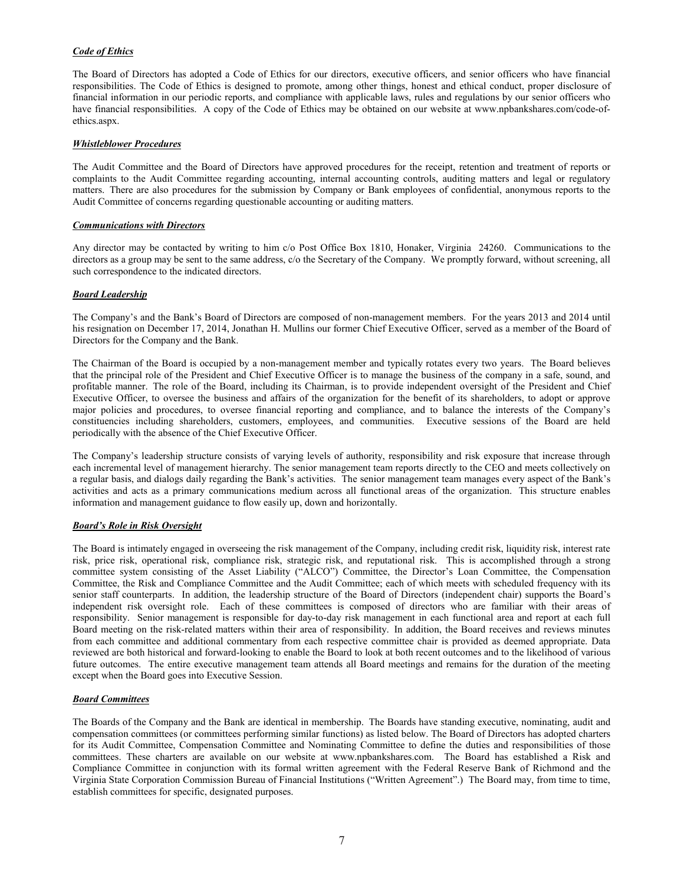# *Code of Ethics*

The Board of Directors has adopted a Code of Ethics for our directors, executive officers, and senior officers who have financial responsibilities. The Code of Ethics is designed to promote, among other things, honest and ethical conduct, proper disclosure of financial information in our periodic reports, and compliance with applicable laws, rules and regulations by our senior officers who have financial responsibilities. A copy of the Code of Ethics may be obtained on our website at www.npbankshares.com/code-ofethics.aspx.

## *Whistleblower Procedures*

The Audit Committee and the Board of Directors have approved procedures for the receipt, retention and treatment of reports or complaints to the Audit Committee regarding accounting, internal accounting controls, auditing matters and legal or regulatory matters. There are also procedures for the submission by Company or Bank employees of confidential, anonymous reports to the Audit Committee of concerns regarding questionable accounting or auditing matters.

## *Communications with Directors*

Any director may be contacted by writing to him c/o Post Office Box 1810, Honaker, Virginia 24260. Communications to the directors as a group may be sent to the same address, c/o the Secretary of the Company. We promptly forward, without screening, all such correspondence to the indicated directors.

## *Board Leadership*

The Company's and the Bank's Board of Directors are composed of non-management members. For the years 2013 and 2014 until his resignation on December 17, 2014, Jonathan H. Mullins our former Chief Executive Officer, served as a member of the Board of Directors for the Company and the Bank.

The Chairman of the Board is occupied by a non-management member and typically rotates every two years. The Board believes that the principal role of the President and Chief Executive Officer is to manage the business of the company in a safe, sound, and profitable manner. The role of the Board, including its Chairman, is to provide independent oversight of the President and Chief Executive Officer, to oversee the business and affairs of the organization for the benefit of its shareholders, to adopt or approve major policies and procedures, to oversee financial reporting and compliance, and to balance the interests of the Company's constituencies including shareholders, customers, employees, and communities. Executive sessions of the Board are held periodically with the absence of the Chief Executive Officer.

The Company's leadership structure consists of varying levels of authority, responsibility and risk exposure that increase through each incremental level of management hierarchy. The senior management team reports directly to the CEO and meets collectively on a regular basis, and dialogs daily regarding the Bank's activities. The senior management team manages every aspect of the Bank's activities and acts as a primary communications medium across all functional areas of the organization. This structure enables information and management guidance to flow easily up, down and horizontally.

# *Board's Role in Risk Oversight*

The Board is intimately engaged in overseeing the risk management of the Company, including credit risk, liquidity risk, interest rate risk, price risk, operational risk, compliance risk, strategic risk, and reputational risk. This is accomplished through a strong committee system consisting of the Asset Liability ("ALCO") Committee, the Director's Loan Committee, the Compensation Committee, the Risk and Compliance Committee and the Audit Committee; each of which meets with scheduled frequency with its senior staff counterparts. In addition, the leadership structure of the Board of Directors (independent chair) supports the Board's independent risk oversight role. Each of these committees is composed of directors who are familiar with their areas of responsibility. Senior management is responsible for day-to-day risk management in each functional area and report at each full Board meeting on the risk-related matters within their area of responsibility. In addition, the Board receives and reviews minutes from each committee and additional commentary from each respective committee chair is provided as deemed appropriate. Data reviewed are both historical and forward-looking to enable the Board to look at both recent outcomes and to the likelihood of various future outcomes. The entire executive management team attends all Board meetings and remains for the duration of the meeting except when the Board goes into Executive Session.

# *Board Committees*

The Boards of the Company and the Bank are identical in membership. The Boards have standing executive, nominating, audit and compensation committees (or committees performing similar functions) as listed below. The Board of Directors has adopted charters for its Audit Committee, Compensation Committee and Nominating Committee to define the duties and responsibilities of those committees. These charters are available on our website at www.npbankshares.com. The Board has established a Risk and Compliance Committee in conjunction with its formal written agreement with the Federal Reserve Bank of Richmond and the Virginia State Corporation Commission Bureau of Financial Institutions ("Written Agreement".) The Board may, from time to time, establish committees for specific, designated purposes.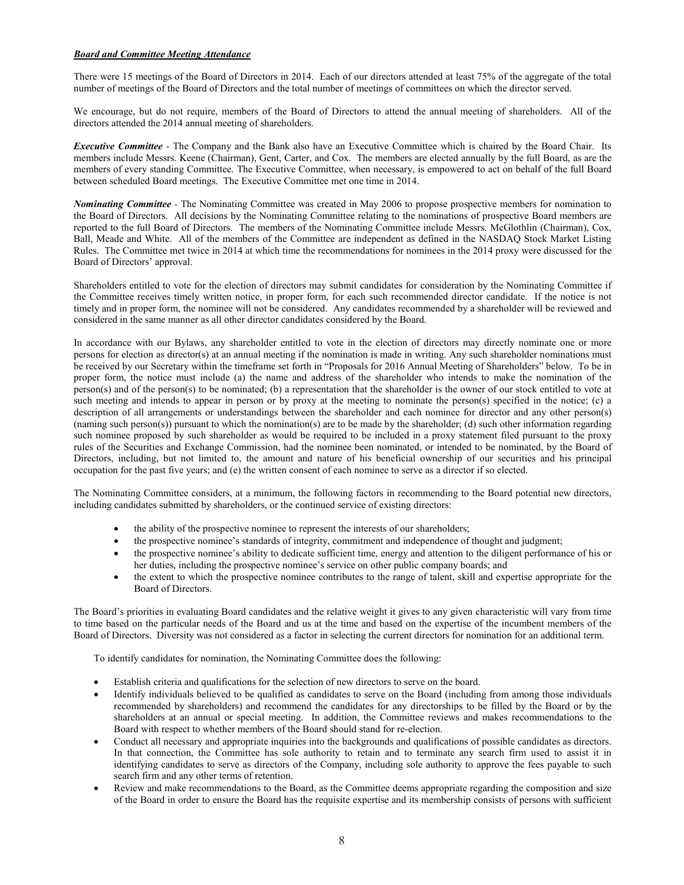## *Board and Committee Meeting Attendance*

There were 15 meetings of the Board of Directors in 2014. Each of our directors attended at least 75% of the aggregate of the total number of meetings of the Board of Directors and the total number of meetings of committees on which the director served.

We encourage, but do not require, members of the Board of Directors to attend the annual meeting of shareholders. All of the directors attended the 2014 annual meeting of shareholders.

*Executive Committee* - The Company and the Bank also have an Executive Committee which is chaired by the Board Chair. Its members include Messrs. Keene (Chairman), Gent, Carter, and Cox. The members are elected annually by the full Board, as are the members of every standing Committee. The Executive Committee, when necessary, is empowered to act on behalf of the full Board between scheduled Board meetings. The Executive Committee met one time in 2014.

*Nominating Committee -* The Nominating Committee was created in May 2006 to propose prospective members for nomination to the Board of Directors. All decisions by the Nominating Committee relating to the nominations of prospective Board members are reported to the full Board of Directors. The members of the Nominating Committee include Messrs. McGlothlin (Chairman), Cox, Ball, Meade and White. All of the members of the Committee are independent as defined in the NASDAQ Stock Market Listing Rules. The Committee met twice in 2014 at which time the recommendations for nominees in the 2014 proxy were discussed for the Board of Directors' approval.

Shareholders entitled to vote for the election of directors may submit candidates for consideration by the Nominating Committee if the Committee receives timely written notice, in proper form, for each such recommended director candidate. If the notice is not timely and in proper form, the nominee will not be considered. Any candidates recommended by a shareholder will be reviewed and considered in the same manner as all other director candidates considered by the Board.

In accordance with our Bylaws, any shareholder entitled to vote in the election of directors may directly nominate one or more persons for election as director(s) at an annual meeting if the nomination is made in writing. Any such shareholder nominations must be received by our Secretary within the timeframe set forth in "Proposals for 2016 Annual Meeting of Shareholders" below. To be in proper form, the notice must include (a) the name and address of the shareholder who intends to make the nomination of the person(s) and of the person(s) to be nominated; (b) a representation that the shareholder is the owner of our stock entitled to vote at such meeting and intends to appear in person or by proxy at the meeting to nominate the person(s) specified in the notice; (c) a description of all arrangements or understandings between the shareholder and each nominee for director and any other person(s) (naming such person(s)) pursuant to which the nomination(s) are to be made by the shareholder; (d) such other information regarding such nominee proposed by such shareholder as would be required to be included in a proxy statement filed pursuant to the proxy rules of the Securities and Exchange Commission, had the nominee been nominated, or intended to be nominated, by the Board of Directors, including, but not limited to, the amount and nature of his beneficial ownership of our securities and his principal occupation for the past five years; and (e) the written consent of each nominee to serve as a director if so elected.

The Nominating Committee considers, at a minimum, the following factors in recommending to the Board potential new directors, including candidates submitted by shareholders, or the continued service of existing directors:

- the ability of the prospective nominee to represent the interests of our shareholders;
- the prospective nominee's standards of integrity, commitment and independence of thought and judgment;
- the prospective nominee's ability to dedicate sufficient time, energy and attention to the diligent performance of his or her duties, including the prospective nominee's service on other public company boards; and
- the extent to which the prospective nominee contributes to the range of talent, skill and expertise appropriate for the Board of Directors.

The Board's priorities in evaluating Board candidates and the relative weight it gives to any given characteristic will vary from time to time based on the particular needs of the Board and us at the time and based on the expertise of the incumbent members of the Board of Directors. Diversity was not considered as a factor in selecting the current directors for nomination for an additional term.

To identify candidates for nomination, the Nominating Committee does the following:

- Establish criteria and qualifications for the selection of new directors to serve on the board.
- Identify individuals believed to be qualified as candidates to serve on the Board (including from among those individuals recommended by shareholders) and recommend the candidates for any directorships to be filled by the Board or by the shareholders at an annual or special meeting. In addition, the Committee reviews and makes recommendations to the Board with respect to whether members of the Board should stand for re-election.
- Conduct all necessary and appropriate inquiries into the backgrounds and qualifications of possible candidates as directors. In that connection, the Committee has sole authority to retain and to terminate any search firm used to assist it in identifying candidates to serve as directors of the Company, including sole authority to approve the fees payable to such search firm and any other terms of retention.
- Review and make recommendations to the Board, as the Committee deems appropriate regarding the composition and size of the Board in order to ensure the Board has the requisite expertise and its membership consists of persons with sufficient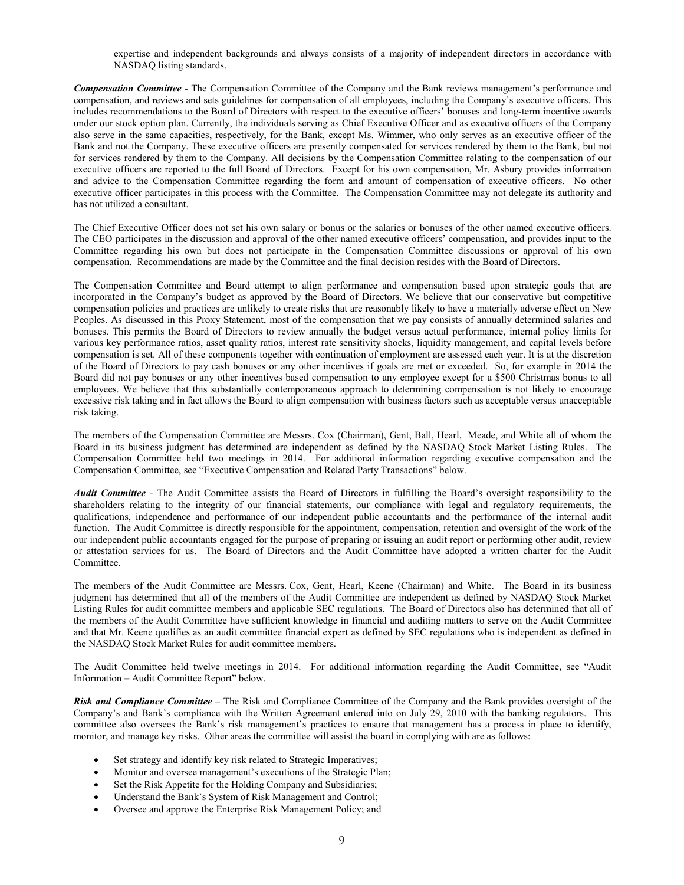expertise and independent backgrounds and always consists of a majority of independent directors in accordance with NASDAQ listing standards.

*Compensation Committee -* The Compensation Committee of the Company and the Bank reviews management's performance and compensation, and reviews and sets guidelines for compensation of all employees, including the Company's executive officers. This includes recommendations to the Board of Directors with respect to the executive officers' bonuses and long-term incentive awards under our stock option plan. Currently, the individuals serving as Chief Executive Officer and as executive officers of the Company also serve in the same capacities, respectively, for the Bank, except Ms. Wimmer, who only serves as an executive officer of the Bank and not the Company. These executive officers are presently compensated for services rendered by them to the Bank, but not for services rendered by them to the Company. All decisions by the Compensation Committee relating to the compensation of our executive officers are reported to the full Board of Directors. Except for his own compensation, Mr. Asbury provides information and advice to the Compensation Committee regarding the form and amount of compensation of executive officers. No other executive officer participates in this process with the Committee. The Compensation Committee may not delegate its authority and has not utilized a consultant.

The Chief Executive Officer does not set his own salary or bonus or the salaries or bonuses of the other named executive officers. The CEO participates in the discussion and approval of the other named executive officers' compensation, and provides input to the Committee regarding his own but does not participate in the Compensation Committee discussions or approval of his own compensation. Recommendations are made by the Committee and the final decision resides with the Board of Directors.

The Compensation Committee and Board attempt to align performance and compensation based upon strategic goals that are incorporated in the Company's budget as approved by the Board of Directors. We believe that our conservative but competitive compensation policies and practices are unlikely to create risks that are reasonably likely to have a materially adverse effect on New Peoples. As discussed in this Proxy Statement, most of the compensation that we pay consists of annually determined salaries and bonuses. This permits the Board of Directors to review annually the budget versus actual performance, internal policy limits for various key performance ratios, asset quality ratios, interest rate sensitivity shocks, liquidity management, and capital levels before compensation is set. All of these components together with continuation of employment are assessed each year. It is at the discretion of the Board of Directors to pay cash bonuses or any other incentives if goals are met or exceeded. So, for example in 2014 the Board did not pay bonuses or any other incentives based compensation to any employee except for a \$500 Christmas bonus to all employees. We believe that this substantially contemporaneous approach to determining compensation is not likely to encourage excessive risk taking and in fact allows the Board to align compensation with business factors such as acceptable versus unacceptable risk taking.

The members of the Compensation Committee are Messrs. Cox (Chairman), Gent, Ball, Hearl, Meade, and White all of whom the Board in its business judgment has determined are independent as defined by the NASDAQ Stock Market Listing Rules. The Compensation Committee held two meetings in 2014. For additional information regarding executive compensation and the Compensation Committee, see "Executive Compensation and Related Party Transactions" below.

*Audit Committee -* The Audit Committee assists the Board of Directors in fulfilling the Board's oversight responsibility to the shareholders relating to the integrity of our financial statements, our compliance with legal and regulatory requirements, the qualifications, independence and performance of our independent public accountants and the performance of the internal audit function. The Audit Committee is directly responsible for the appointment, compensation, retention and oversight of the work of the our independent public accountants engaged for the purpose of preparing or issuing an audit report or performing other audit, review or attestation services for us. The Board of Directors and the Audit Committee have adopted a written charter for the Audit Committee.

The members of the Audit Committee are Messrs. Cox, Gent, Hearl, Keene (Chairman) and White. The Board in its business judgment has determined that all of the members of the Audit Committee are independent as defined by NASDAQ Stock Market Listing Rules for audit committee members and applicable SEC regulations. The Board of Directors also has determined that all of the members of the Audit Committee have sufficient knowledge in financial and auditing matters to serve on the Audit Committee and that Mr. Keene qualifies as an audit committee financial expert as defined by SEC regulations who is independent as defined in the NASDAQ Stock Market Rules for audit committee members.

The Audit Committee held twelve meetings in 2014. For additional information regarding the Audit Committee, see "Audit Information – Audit Committee Report" below.

*Risk and Compliance Committee* – The Risk and Compliance Committee of the Company and the Bank provides oversight of the Company's and Bank's compliance with the Written Agreement entered into on July 29, 2010 with the banking regulators. This committee also oversees the Bank's risk management's practices to ensure that management has a process in place to identify, monitor, and manage key risks. Other areas the committee will assist the board in complying with are as follows:

- Set strategy and identify key risk related to Strategic Imperatives;
- Monitor and oversee management's executions of the Strategic Plan;
- Set the Risk Appetite for the Holding Company and Subsidiaries;
- Understand the Bank's System of Risk Management and Control;
- Oversee and approve the Enterprise Risk Management Policy; and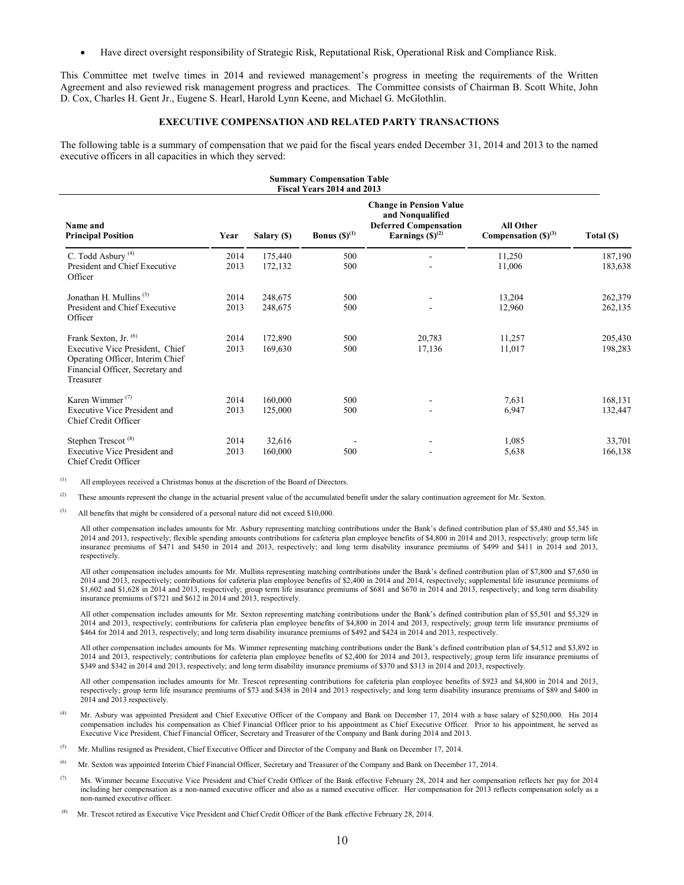• Have direct oversight responsibility of Strategic Risk, Reputational Risk, Operational Risk and Compliance Risk.

This Committee met twelve times in 2014 and reviewed management's progress in meeting the requirements of the Written Agreement and also reviewed risk management progress and practices. The Committee consists of Chairman B. Scott White, John D. Cox, Charles H. Gent Jr., Eugene S. Hearl, Harold Lynn Keene, and Michael G. McGlothlin.

## **EXECUTIVE COMPENSATION AND RELATED PARTY TRANSACTIONS**

The following table is a summary of compensation that we paid for the fiscal years ended December 31, 2014 and 2013 to the named executive officers in all capacities in which they served:

| <b>Summary Compensation Table</b><br>Fiscal Years 2014 and 2013                                                                                          |              |                    |                          |                                                                                                            |                                              |                    |
|----------------------------------------------------------------------------------------------------------------------------------------------------------|--------------|--------------------|--------------------------|------------------------------------------------------------------------------------------------------------|----------------------------------------------|--------------------|
| Name and<br><b>Principal Position</b>                                                                                                                    | Year         | Salary (\$)        | <b>Bonus</b> $(S)^{(1)}$ | <b>Change in Pension Value</b><br>and Nonqualified<br><b>Deferred Compensation</b><br>Earnings $(S)^{(2)}$ | <b>All Other</b><br>Compensation $(S)^{(3)}$ | Total (\$)         |
| C. Todd Asbury <sup>(4)</sup><br>President and Chief Executive<br>Officer                                                                                | 2014<br>2013 | 175,440<br>172,132 | 500<br>500               |                                                                                                            | 11,250<br>11,006                             | 187,190<br>183,638 |
| Jonathan H. Mullins <sup>(5)</sup><br>President and Chief Executive<br>Officer                                                                           | 2014<br>2013 | 248,675<br>248,675 | 500<br>500               |                                                                                                            | 13,204<br>12,960                             | 262,379<br>262,135 |
| Frank Sexton, Jr. <sup>(6)</sup><br>Executive Vice President, Chief<br>Operating Officer, Interim Chief<br>Financial Officer, Secretary and<br>Treasurer | 2014<br>2013 | 172,890<br>169,630 | 500<br>500               | 20,783<br>17,136                                                                                           | 11,257<br>11,017                             | 205,430<br>198,283 |
| Karen Wimmer $(7)$<br><b>Executive Vice President and</b><br>Chief Credit Officer                                                                        | 2014<br>2013 | 160,000<br>125,000 | 500<br>500               |                                                                                                            | 7,631<br>6,947                               | 168,131<br>132,447 |
| Stephen Trescot <sup>(8)</sup><br><b>Executive Vice President and</b><br>Chief Credit Officer                                                            | 2014<br>2013 | 32,616<br>160,000  | 500                      |                                                                                                            | 1,085<br>5,638                               | 33,701<br>166,138  |

(1) All employees received a Christmas bonus at the discretion of the Board of Directors.

<sup>(2)</sup> These amounts represent the change in the actuarial present value of the accumulated benefit under the salary continuation agreement for Mr. Sexton.

 $(3)$  All benefits that might be considered of a personal nature did not exceed \$10,000.

All other compensation includes amounts for Mr. Asbury representing matching contributions under the Bank's defined contribution plan of \$5,480 and \$5,345 in 2014 and 2013, respectively; flexible spending amounts contributions for cafeteria plan employee benefits of \$4,800 in 2014 and 2013, respectively; group term life insurance premiums of \$471 and \$450 in 2014 and 2013, respectively; and long term disability insurance premiums of \$499 and \$411 in 2014 and 2013, respectively.

All other compensation includes amounts for Mr. Mullins representing matching contributions under the Bank's defined contribution plan of \$7,800 and \$7,650 in 2014 and 2013, respectively; contributions for cafeteria plan employee benefits of \$2,400 in 2014 and 2014, respectively; supplemental life insurance premiums of \$1,602 and \$1,628 in 2014 and 2013, respectively; group term life insurance premiums of \$681 and \$670 in 2014 and 2013, respectively; and long term disability insurance premiums of \$721 and \$612 in 2014 and 2013, respectively.

All other compensation includes amounts for Mr. Sexton representing matching contributions under the Bank's defined contribution plan of \$5,501 and \$5,329 in 2014 and 2013, respectively; contributions for cafeteria plan employee benefits of \$4,800 in 2014 and 2013, respectively; group term life insurance premiums of \$464 for 2014 and 2013, respectively; and long term disability insurance premiums of \$492 and \$424 in 2014 and 2013, respectively.

All other compensation includes amounts for Ms. Wimmer representing matching contributions under the Bank's defined contribution plan of \$4,512 and \$3,892 in 2014 and 2013, respectively; contributions for cafeteria plan employee benefits of \$2,400 for 2014 and 2013, respectively; group term life insurance premiums of \$349 and \$342 in 2014 and 2013, respectively; and long term disability insurance premiums of \$370 and \$313 in 2014 and 2013, respectively.

All other compensation includes amounts for Mr. Trescot representing contributions for cafeteria plan employee benefits of \$923 and \$4,800 in 2014 and 2013, respectively; group term life insurance premiums of \$73 and \$438 in 2014 and 2013 respectively; and long term disability insurance premiums of \$89 and \$400 in 2014 and 2013 respectively.

- (4) Mr. Asbury was appointed President and Chief Executive Officer of the Company and Bank on December 17, 2014 with a base salary of \$250,000. His 2014 compensation includes his compensation as Chief Financial Officer prior to his appointment as Chief Executive Officer. Prior to his appointment, he served as Executive Vice President, Chief Financial Officer, Secretary and Treasurer of the Company and Bank during 2014 and 2013.
- <sup>(5)</sup> Mr. Mullins resigned as President, Chief Executive Officer and Director of the Company and Bank on December 17, 2014.
- <sup>(6)</sup> Mr. Sexton was appointed Interim Chief Financial Officer, Secretary and Treasurer of the Company and Bank on December 17, 2014.
- (7) Ms. Wimmer became Executive Vice President and Chief Credit Officer of the Bank effective February 28, 2014 and her compensation reflects her pay for 2014 including her compensation as a non-named executive officer and also as a named executive officer. Her compensation for 2013 reflects compensation solely as a non-named executive officer.
- (8) Mr. Trescot retired as Executive Vice President and Chief Credit Officer of the Bank effective February 28, 2014.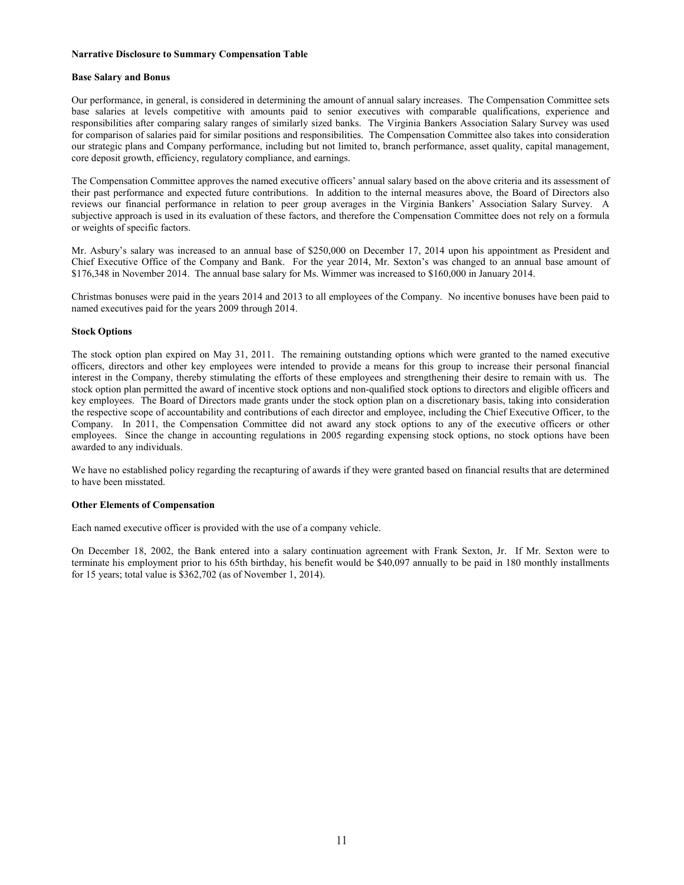#### **Narrative Disclosure to Summary Compensation Table**

#### **Base Salary and Bonus**

Our performance, in general, is considered in determining the amount of annual salary increases. The Compensation Committee sets base salaries at levels competitive with amounts paid to senior executives with comparable qualifications, experience and responsibilities after comparing salary ranges of similarly sized banks. The Virginia Bankers Association Salary Survey was used for comparison of salaries paid for similar positions and responsibilities. The Compensation Committee also takes into consideration our strategic plans and Company performance, including but not limited to, branch performance, asset quality, capital management, core deposit growth, efficiency, regulatory compliance, and earnings.

The Compensation Committee approves the named executive officers' annual salary based on the above criteria and its assessment of their past performance and expected future contributions. In addition to the internal measures above, the Board of Directors also reviews our financial performance in relation to peer group averages in the Virginia Bankers' Association Salary Survey. A subjective approach is used in its evaluation of these factors, and therefore the Compensation Committee does not rely on a formula or weights of specific factors.

Mr. Asbury's salary was increased to an annual base of \$250,000 on December 17, 2014 upon his appointment as President and Chief Executive Office of the Company and Bank. For the year 2014, Mr. Sexton's was changed to an annual base amount of \$176,348 in November 2014. The annual base salary for Ms. Wimmer was increased to \$160,000 in January 2014.

Christmas bonuses were paid in the years 2014 and 2013 to all employees of the Company. No incentive bonuses have been paid to named executives paid for the years 2009 through 2014.

### **Stock Options**

The stock option plan expired on May 31, 2011. The remaining outstanding options which were granted to the named executive officers, directors and other key employees were intended to provide a means for this group to increase their personal financial interest in the Company, thereby stimulating the efforts of these employees and strengthening their desire to remain with us. The stock option plan permitted the award of incentive stock options and non-qualified stock options to directors and eligible officers and key employees. The Board of Directors made grants under the stock option plan on a discretionary basis, taking into consideration the respective scope of accountability and contributions of each director and employee, including the Chief Executive Officer, to the Company. In 2011, the Compensation Committee did not award any stock options to any of the executive officers or other employees. Since the change in accounting regulations in 2005 regarding expensing stock options, no stock options have been awarded to any individuals.

We have no established policy regarding the recapturing of awards if they were granted based on financial results that are determined to have been misstated.

# **Other Elements of Compensation**

Each named executive officer is provided with the use of a company vehicle.

On December 18, 2002, the Bank entered into a salary continuation agreement with Frank Sexton, Jr. If Mr. Sexton were to terminate his employment prior to his 65th birthday, his benefit would be \$40,097 annually to be paid in 180 monthly installments for 15 years; total value is \$362,702 (as of November 1, 2014).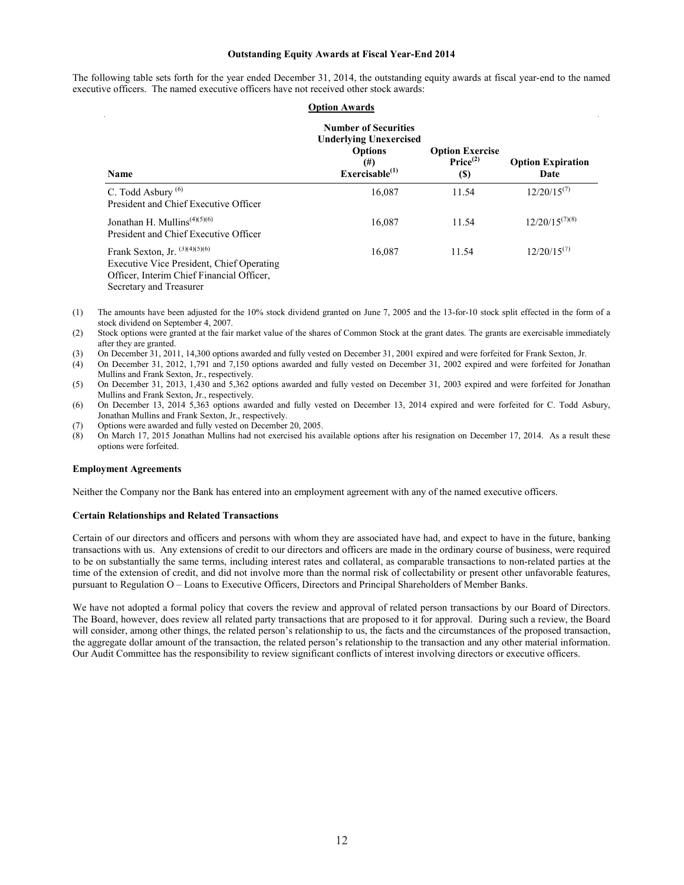### **Outstanding Equity Awards at Fiscal Year-End 2014**

| <b>Option Awards</b>                                                                                                                                  |                                                                                                                    |                                                               |                                  |  |  |
|-------------------------------------------------------------------------------------------------------------------------------------------------------|--------------------------------------------------------------------------------------------------------------------|---------------------------------------------------------------|----------------------------------|--|--|
| <b>Name</b>                                                                                                                                           | <b>Number of Securities</b><br><b>Underlying Unexercised</b><br><b>Options</b><br>$^{(#)}$<br>Exercisable $^{(1)}$ | <b>Option Exercise</b><br>Price <sup>(2)</sup><br><b>(\$)</b> | <b>Option Expiration</b><br>Date |  |  |
| C. Todd Asbury $(6)$<br>President and Chief Executive Officer                                                                                         | 16,087                                                                                                             | 11.54                                                         | $12/20/15^{(7)}$                 |  |  |
| Jonathan H. Mullins <sup><math>(4)(5)(6)</math></sup><br>President and Chief Executive Officer                                                        | 16,087                                                                                                             | 11.54                                                         | $12/20/15^{(7)(8)}$              |  |  |
| Frank Sexton, Jr. $(3)(4)(5)(6)$<br>Executive Vice President, Chief Operating<br>Officer, Interim Chief Financial Officer,<br>Secretary and Treasurer | 16,087                                                                                                             | 11.54                                                         | $12/20/15^{(7)}$                 |  |  |

The following table sets forth for the year ended December 31, 2014, the outstanding equity awards at fiscal year-end to the named executive officers. The named executive officers have not received other stock awards:

- (1) The amounts have been adjusted for the 10% stock dividend granted on June 7, 2005 and the 13-for-10 stock split effected in the form of a stock dividend on September 4, 2007.
- (2) Stock options were granted at the fair market value of the shares of Common Stock at the grant dates. The grants are exercisable immediately after they are granted.
- (3) On December 31, 2011, 14,300 options awarded and fully vested on December 31, 2001 expired and were forfeited for Frank Sexton, Jr.
- (4) On December 31, 2012, 1,791 and 7,150 options awarded and fully vested on December 31, 2002 expired and were forfeited for Jonathan Mullins and Frank Sexton, Jr., respectively.
- (5) On December 31, 2013, 1,430 and 5,362 options awarded and fully vested on December 31, 2003 expired and were forfeited for Jonathan Mullins and Frank Sexton, Jr., respectively.
- (6) On December 13, 2014 5,363 options awarded and fully vested on December 13, 2014 expired and were forfeited for C. Todd Asbury, Jonathan Mullins and Frank Sexton, Jr., respectively.
- (7) Options were awarded and fully vested on December 20, 2005.
- (8) On March 17, 2015 Jonathan Mullins had not exercised his available options after his resignation on December 17, 2014. As a result these options were forfeited.

#### **Employment Agreements**

Neither the Company nor the Bank has entered into an employment agreement with any of the named executive officers.

#### **Certain Relationships and Related Transactions**

Certain of our directors and officers and persons with whom they are associated have had, and expect to have in the future, banking transactions with us. Any extensions of credit to our directors and officers are made in the ordinary course of business, were required to be on substantially the same terms, including interest rates and collateral, as comparable transactions to non-related parties at the time of the extension of credit, and did not involve more than the normal risk of collectability or present other unfavorable features, pursuant to Regulation O – Loans to Executive Officers, Directors and Principal Shareholders of Member Banks.

We have not adopted a formal policy that covers the review and approval of related person transactions by our Board of Directors. The Board, however, does review all related party transactions that are proposed to it for approval. During such a review, the Board will consider, among other things, the related person's relationship to us, the facts and the circumstances of the proposed transaction, the aggregate dollar amount of the transaction, the related person's relationship to the transaction and any other material information. Our Audit Committee has the responsibility to review significant conflicts of interest involving directors or executive officers.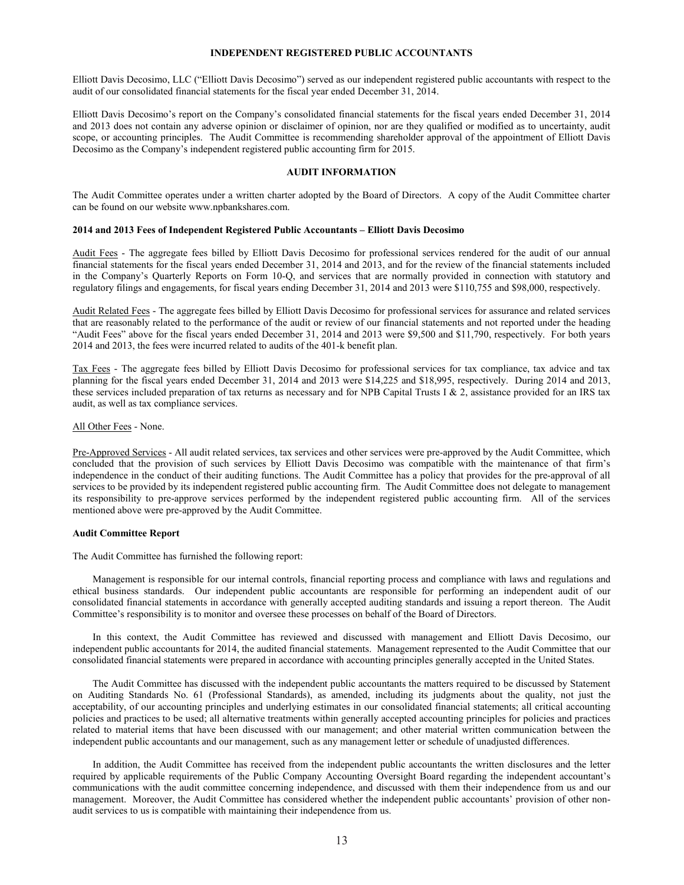#### **INDEPENDENT REGISTERED PUBLIC ACCOUNTANTS**

Elliott Davis Decosimo, LLC ("Elliott Davis Decosimo") served as our independent registered public accountants with respect to the audit of our consolidated financial statements for the fiscal year ended December 31, 2014.

Elliott Davis Decosimo's report on the Company's consolidated financial statements for the fiscal years ended December 31, 2014 and 2013 does not contain any adverse opinion or disclaimer of opinion, nor are they qualified or modified as to uncertainty, audit scope, or accounting principles. The Audit Committee is recommending shareholder approval of the appointment of Elliott Davis Decosimo as the Company's independent registered public accounting firm for 2015.

## **AUDIT INFORMATION**

The Audit Committee operates under a written charter adopted by the Board of Directors. A copy of the Audit Committee charter can be found on our website www.npbankshares.com.

#### **2014 and 2013 Fees of Independent Registered Public Accountants – Elliott Davis Decosimo**

Audit Fees - The aggregate fees billed by Elliott Davis Decosimo for professional services rendered for the audit of our annual financial statements for the fiscal years ended December 31, 2014 and 2013, and for the review of the financial statements included in the Company's Quarterly Reports on Form 10-Q, and services that are normally provided in connection with statutory and regulatory filings and engagements, for fiscal years ending December 31, 2014 and 2013 were \$110,755 and \$98,000, respectively.

Audit Related Fees - The aggregate fees billed by Elliott Davis Decosimo for professional services for assurance and related services that are reasonably related to the performance of the audit or review of our financial statements and not reported under the heading "Audit Fees" above for the fiscal years ended December 31, 2014 and 2013 were \$9,500 and \$11,790, respectively. For both years 2014 and 2013, the fees were incurred related to audits of the 401-k benefit plan.

Tax Fees - The aggregate fees billed by Elliott Davis Decosimo for professional services for tax compliance, tax advice and tax planning for the fiscal years ended December 31, 2014 and 2013 were \$14,225 and \$18,995, respectively. During 2014 and 2013, these services included preparation of tax returns as necessary and for NPB Capital Trusts I  $\&$  2, assistance provided for an IRS tax audit, as well as tax compliance services.

#### All Other Fees - None.

Pre-Approved Services - All audit related services, tax services and other services were pre-approved by the Audit Committee, which concluded that the provision of such services by Elliott Davis Decosimo was compatible with the maintenance of that firm's independence in the conduct of their auditing functions. The Audit Committee has a policy that provides for the pre-approval of all services to be provided by its independent registered public accounting firm. The Audit Committee does not delegate to management its responsibility to pre-approve services performed by the independent registered public accounting firm. All of the services mentioned above were pre-approved by the Audit Committee.

#### **Audit Committee Report**

The Audit Committee has furnished the following report:

Management is responsible for our internal controls, financial reporting process and compliance with laws and regulations and ethical business standards. Our independent public accountants are responsible for performing an independent audit of our consolidated financial statements in accordance with generally accepted auditing standards and issuing a report thereon. The Audit Committee's responsibility is to monitor and oversee these processes on behalf of the Board of Directors.

In this context, the Audit Committee has reviewed and discussed with management and Elliott Davis Decosimo, our independent public accountants for 2014, the audited financial statements. Management represented to the Audit Committee that our consolidated financial statements were prepared in accordance with accounting principles generally accepted in the United States.

The Audit Committee has discussed with the independent public accountants the matters required to be discussed by Statement on Auditing Standards No. 61 (Professional Standards), as amended, including its judgments about the quality, not just the acceptability, of our accounting principles and underlying estimates in our consolidated financial statements; all critical accounting policies and practices to be used; all alternative treatments within generally accepted accounting principles for policies and practices related to material items that have been discussed with our management; and other material written communication between the independent public accountants and our management, such as any management letter or schedule of unadjusted differences.

In addition, the Audit Committee has received from the independent public accountants the written disclosures and the letter required by applicable requirements of the Public Company Accounting Oversight Board regarding the independent accountant's communications with the audit committee concerning independence, and discussed with them their independence from us and our management. Moreover, the Audit Committee has considered whether the independent public accountants' provision of other nonaudit services to us is compatible with maintaining their independence from us.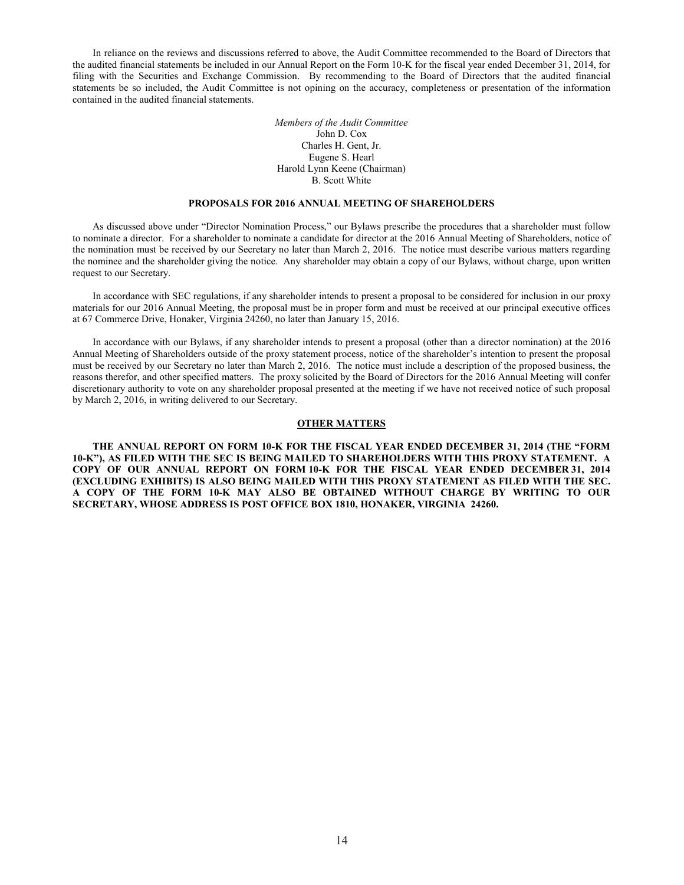In reliance on the reviews and discussions referred to above, the Audit Committee recommended to the Board of Directors that the audited financial statements be included in our Annual Report on the Form 10-K for the fiscal year ended December 31, 2014, for filing with the Securities and Exchange Commission. By recommending to the Board of Directors that the audited financial statements be so included, the Audit Committee is not opining on the accuracy, completeness or presentation of the information contained in the audited financial statements.

> *Members of the Audit Committee* John D. Cox Charles H. Gent, Jr. Eugene S. Hearl Harold Lynn Keene (Chairman) B. Scott White

### **PROPOSALS FOR 2016 ANNUAL MEETING OF SHAREHOLDERS**

As discussed above under "Director Nomination Process," our Bylaws prescribe the procedures that a shareholder must follow to nominate a director. For a shareholder to nominate a candidate for director at the 2016 Annual Meeting of Shareholders, notice of the nomination must be received by our Secretary no later than March 2, 2016. The notice must describe various matters regarding the nominee and the shareholder giving the notice. Any shareholder may obtain a copy of our Bylaws, without charge, upon written request to our Secretary.

In accordance with SEC regulations, if any shareholder intends to present a proposal to be considered for inclusion in our proxy materials for our 2016 Annual Meeting, the proposal must be in proper form and must be received at our principal executive offices at 67 Commerce Drive, Honaker, Virginia 24260, no later than January 15, 2016.

In accordance with our Bylaws, if any shareholder intends to present a proposal (other than a director nomination) at the 2016 Annual Meeting of Shareholders outside of the proxy statement process, notice of the shareholder's intention to present the proposal must be received by our Secretary no later than March 2, 2016. The notice must include a description of the proposed business, the reasons therefor, and other specified matters. The proxy solicited by the Board of Directors for the 2016 Annual Meeting will confer discretionary authority to vote on any shareholder proposal presented at the meeting if we have not received notice of such proposal by March 2, 2016, in writing delivered to our Secretary.

## **OTHER MATTERS**

**THE ANNUAL REPORT ON FORM 10-K FOR THE FISCAL YEAR ENDED DECEMBER 31, 2014 (THE "FORM 10-K"), AS FILED WITH THE SEC IS BEING MAILED TO SHAREHOLDERS WITH THIS PROXY STATEMENT. A COPY OF OUR ANNUAL REPORT ON FORM 10-K FOR THE FISCAL YEAR ENDED DECEMBER 31, 2014 (EXCLUDING EXHIBITS) IS ALSO BEING MAILED WITH THIS PROXY STATEMENT AS FILED WITH THE SEC. A COPY OF THE FORM 10-K MAY ALSO BE OBTAINED WITHOUT CHARGE BY WRITING TO OUR SECRETARY, WHOSE ADDRESS IS POST OFFICE BOX 1810, HONAKER, VIRGINIA 24260.**